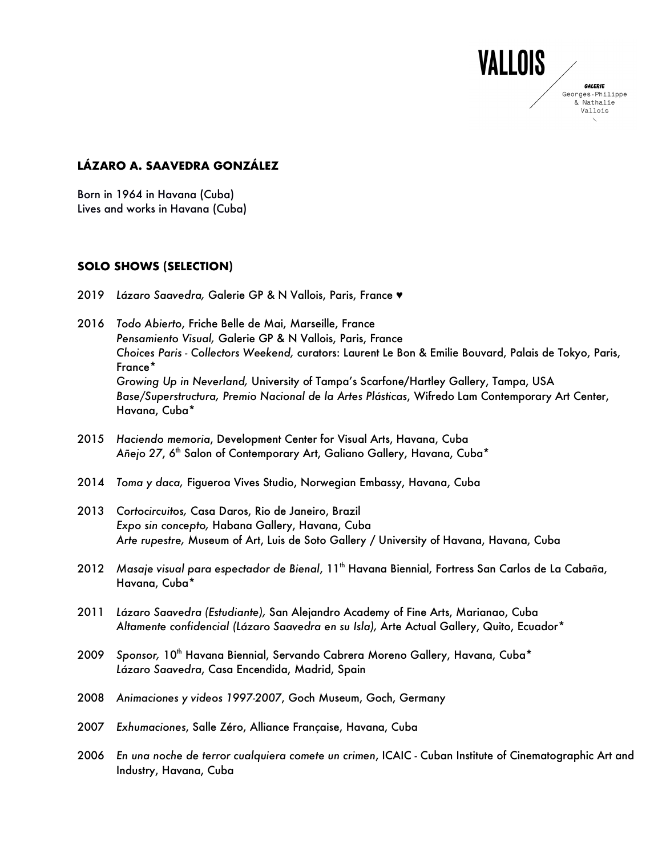# **LÁZARO A. SAAVEDRA GONZÁLEZ**

Born in 1964 in Havana (Cuba) Lives and works in Havana (Cuba)

#### **SOLO SHOWS (SELECTION)**

- 2019 *Lázaro Saavedra,* Galerie GP & N Vallois, Paris, France ♥
- 2016 *Todo Abierto*, Friche Belle de Mai, Marseille, France *Pensamiento Visual,* Galerie GP & N Vallois, Paris, France *Choices Paris - Collectors Weekend,* curators: Laurent Le Bon & Emilie Bouvard, Palais de Tokyo, Paris, France\* *Growing Up in Neverland,* University of Tampa's Scarfone/Hartley Gallery, Tampa, USA *Base/Superstructura, Premio Nacional de la Artes Plásticas*, Wifredo Lam Contemporary Art Center, Havana, Cuba\*

**VALLOIS** 

**GALERIE** Georges-Philippe & Nathalie Vallois

- 2015 *Haciendo memoria*, Development Center for Visual Arts, Havana, Cuba Añejo 27, 6<sup>th</sup> Salon of Contemporary Art, Galiano Gallery, Havana, Cuba<sup>\*</sup>
- 2014 *Toma y daca,* Figueroa Vives Studio, Norwegian Embassy, Havana, Cuba
- 2013 *Cortocircuitos,* Casa Daros, Rio de Janeiro, Brazil *Expo sin concepto,* Habana Gallery, Havana, Cuba *Arte rupestre,* Museum of Art, Luis de Soto Gallery / University of Havana, Havana, Cuba
- 2012 Masaje visual para espectador de Bienal, 11<sup>th</sup> Havana Biennial, Fortress San Carlos de La Cabaña, Havana, Cuba\*
- 2011 *Lázaro Saavedra (Estudiante),* San Alejandro Academy of Fine Arts, Marianao, Cuba *Altamente confidencial (Lázaro Saavedra en su Isla),* Arte Actual Gallery, Quito, Ecuador\*
- 2009 Sponsor, 10<sup>th</sup> Havana Biennial, Servando Cabrera Moreno Gallery, Havana, Cuba\* *Lázaro Saavedra*, Casa Encendida, Madrid, Spain
- 2008 *Animaciones y videos 1997-2007*, Goch Museum, Goch, Germany
- 2007 *Exhumaciones*, Salle Zéro, Alliance Française, Havana, Cuba
- 2006 *En una noche de terror cualquiera comete un crimen*, ICAIC Cuban Institute of Cinematographic Art and Industry, Havana, Cuba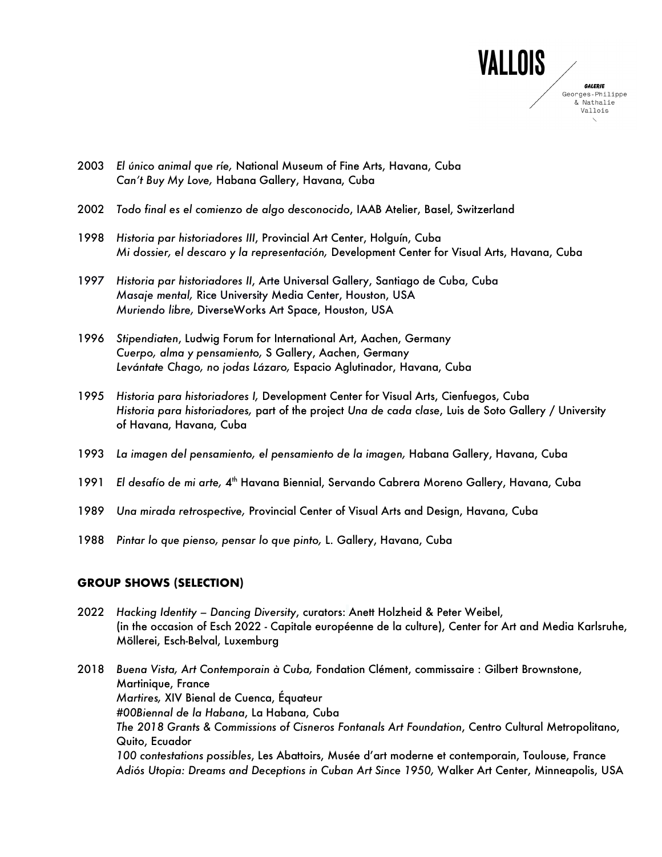

- 2003 *El único animal que r*í*e,* National Museum of Fine Arts, Havana, Cuba *Can't Buy My Love,* Habana Gallery, Havana, Cuba
- 2002 *Todo final es el comienzo de algo desconocido*, IAAB Atelier, Basel, Switzerland
- 1998 *Historia par historiadores III*, Provincial Art Center, Holguín, Cuba *Mi dossier, el descaro y la representación,* Development Center for Visual Arts, Havana, Cuba
- 1997 *Historia par historiadores II*, Arte Universal Gallery, Santiago de Cuba, Cuba *Masaje mental,* Rice University Media Center, Houston, USA *Muriendo libre,* DiverseWorks Art Space, Houston, USA
- 1996 *Stipendiaten*, Ludwig Forum for International Art, Aachen, Germany *Cuerpo, alma y pensamiento,* S Gallery, Aachen, Germany *Levántate Chago, no jodas Lázaro,* Espacio Aglutinador, Havana, Cuba
- 1995 *Historia para historiadores I,* Development Center for Visual Arts, Cienfuegos, Cuba *Historia para historiadores,* part of the project *Una de cada clase*, Luis de Soto Gallery / University of Havana, Havana, Cuba
- 1993 *La imagen del pensamiento, el pensamiento de la imagen,* Habana Gallery, Havana, Cuba
- 1991 *El desafío de mi arte, 4<sup>th</sup> Havana Biennial, Servando Cabrera Moreno Gallery, Havana, Cuba*
- 1989 *Una mirada retrospective,* Provincial Center of Visual Arts and Design, Havana, Cuba
- 1988 *Pintar lo que pienso, pensar lo que pinto,* L. Gallery, Havana, Cuba

#### **GROUP SHOWS (SELECTION)**

- 2022 *Hacking Identity – Dancing Diversity*, curators: Anett Holzheid & Peter Weibel, (in the occasion of Esch 2022 - Capitale européenne de la culture), Center for Art and Media Karlsruhe, Möllerei, Esch-Belval, Luxemburg
- 2018 *Buena Vista, Art Contemporain à Cuba,* Fondation Clément, commissaire : Gilbert Brownstone, Martinique, France *Martires,* XIV Bienal de Cuenca, Équateur *#00Biennal de la Habana*, La Habana, Cuba *The 2018 Grants & Commissions of Cisneros Fontanals Art Foundation*, Centro Cultural Metropolitano, Quito, Ecuador *100 contestations possibles*, Les Abattoirs, Musée d'art moderne et contemporain, Toulouse, France *Adiós Utopia: Dreams and Deceptions in Cuban Art Since 1950,* Walker Art Center, Minneapolis, USA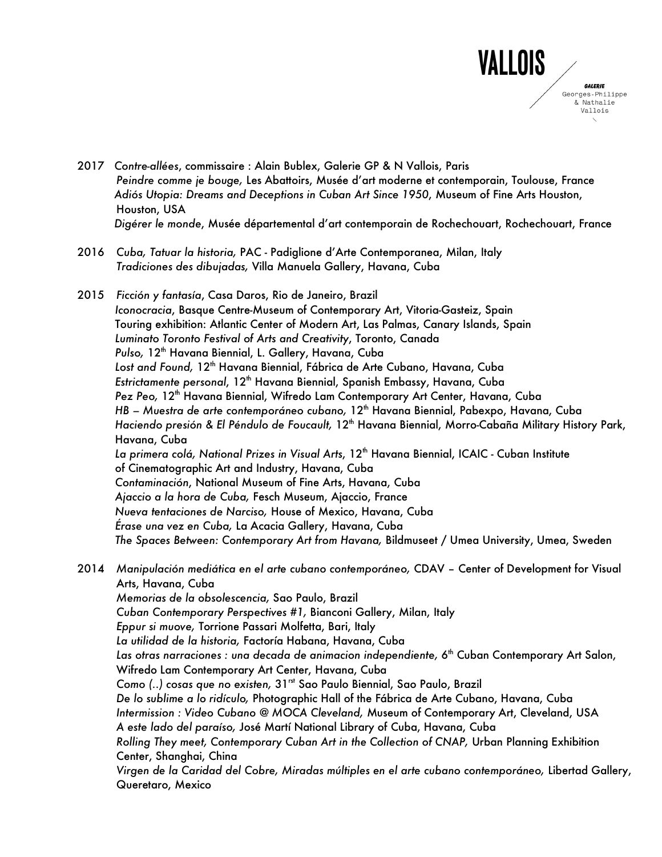

- 2017 *Contre-allées*, commissaire : Alain Bublex, Galerie GP & N Vallois, Paris *Peindre comme je bouge,* Les Abattoirs, Musée d'art moderne et contemporain, Toulouse, France *Adiós Utopia: Dreams and Deceptions in Cuban Art Since 1950*, Museum of Fine Arts Houston, Houston, USA  *Digérer le monde*, Musée départemental d'art contemporain de Rochechouart, Rochechouart, France
- 2016 *Cuba, Tatuar la historia,* PAC Padiglione d'Arte Contemporanea, Milan, Italy *Tradiciones des dibujadas,* Villa Manuela Gallery, Havana, Cuba
- 2015 *Ficción y fantasía*, Casa Daros, Rio de Janeiro, Brazil *Iconocracia*, Basque Centre-Museum of Contemporary Art, Vitoria-Gasteiz, Spain Touring exhibition: Atlantic Center of Modern Art, Las Palmas, Canary Islands, Spain *Luminato Toronto Festival of Arts and Creativity*, Toronto, Canada Pulso, 12<sup>th</sup> Havana Biennial, L. Gallery, Havana, Cuba Lost and Found, 12<sup>th</sup> Havana Biennial, Fábrica de Arte Cubano, Havana, Cuba **Estrictamente personal, 12<sup>th</sup> Havana Biennial, Spanish Embassy, Havana, Cuba** Pez Peo, 12<sup>th</sup> Havana Biennial, Wifredo Lam Contemporary Art Center, Havana, Cuba *HB – Muestra de arte contemporáneo cubano,* 12<sup>th</sup> Havana Biennial, Pabexpo, Havana, Cuba Haciendo presión & El Péndulo de Foucault, 12<sup>th</sup> Havana Biennial, Morro-Cabaña Military History Park, Havana, Cuba *La primera colá, National Prizes in Visual Arts*, 12th Havana Biennial, ICAIC - Cuban Institute of Cinematographic Art and Industry, Havana, Cuba *Contaminación*, National Museum of Fine Arts, Havana, Cuba *Ajaccio a la hora de Cuba,* Fesch Museum, Ajaccio, France *Nueva tentaciones de Narciso,* House of Mexico, Havana, Cuba *Érase una vez en Cuba,* La Acacia Gallery, Havana, Cuba *The Spaces Between: Contemporary Art from Havana,* Bildmuseet / Umea University, Umea, Sweden
- 2014 *Manipulación mediática en el arte cubano contemporáneo,* CDAV Center of Development for Visual Arts, Havana, Cuba *Memorias de la obsolescencia,* Sao Paulo, Brazil *Cuban Contemporary Perspectives #1,* Bianconi Gallery, Milan, Italy *Eppur si muove,* Torrione Passari Molfetta, Bari, Italy *La utilidad de la historia,* Factoría Habana, Havana, Cuba Las otras narraciones *: una decada de animacion independiente*, 6<sup>th</sup> Cuban Contemporary Art Salon, Wifredo Lam Contemporary Art Center, Havana, Cuba Como (..) cosas que no existen, 31<sup>rst</sup> Sao Paulo Biennial, Sao Paulo, Brazil *De lo sublime a lo ridículo,* Photographic Hall of the Fábrica de Arte Cubano, Havana, Cuba *Intermission : Video Cubano @ MOCA Cleveland,* Museum of Contemporary Art, Cleveland, USA *A este lado del paraíso,* José Martí National Library of Cuba, Havana, Cuba *Rolling They meet, Contemporary Cuban Art in the Collection of CNAP,* Urban Planning Exhibition Center, Shanghai, China *Virgen de la Caridad del Cobre, Miradas múltiples en el arte cubano contemporáneo,* Libertad Gallery, Queretaro, Mexico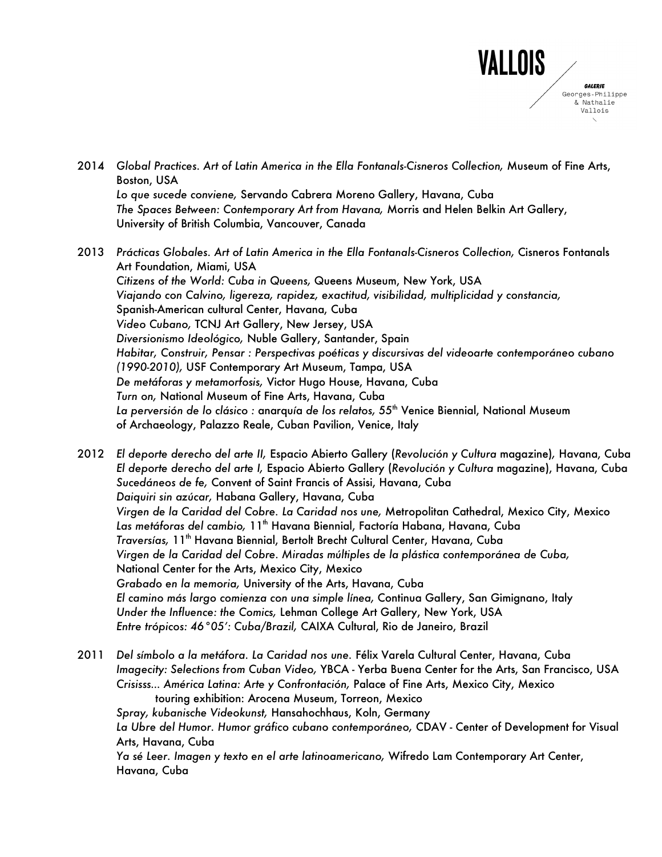

- 2014 *Global Practices. Art of Latin America in the Ella Fontanals-Cisneros Collection,* Museum of Fine Arts, Boston, USA *Lo que sucede conviene,* Servando Cabrera Moreno Gallery, Havana, Cuba *The Spaces Between: Contemporary Art from Havana,* Morris and Helen Belkin Art Gallery, University of British Columbia, Vancouver, Canada
- 2013 *Prácticas Globales. Art of Latin America in the Ella Fontanals-Cisneros Collection,* Cisneros Fontanals Art Foundation, Miami, USA *Citizens of the World: Cuba in Queens,* Queens Museum, New York, USA *Viajando con Calvino, ligereza, rapidez, exactitud, visibilidad, multiplicidad y constancia,* Spanish-American cultural Center, Havana, Cuba *Video Cubano,* TCNJ Art Gallery, New Jersey, USA *Diversionismo Ideológico,* Nuble Gallery, Santander, Spain *Habitar, Construir, Pensar : Perspectivas poéticas y discursivas del videoarte contemporáneo cubano (1990-2010),* USF Contemporary Art Museum, Tampa, USA *De metáforas y metamorfosis,* Victor Hugo House, Havana, Cuba *Turn on,* National Museum of Fine Arts, Havana, Cuba *La perversión de lo clásico :* anarqu*í*a *de los relatos,* 55th Venice Biennial, National Museum of Archaeology, Palazzo Reale, Cuban Pavilion, Venice, Italy

2012 *El deporte derecho del arte II,* Espacio Abierto Gallery (*Revolución y Cultura* magazine)*,* Havana, Cuba *El deporte derecho del arte I,* Espacio Abierto Gallery (*Revolución y Cultura* magazine), Havana, Cuba *Sucedáneos de fe,* Convent of Saint Francis of Assisi, Havana, Cuba *Daiquiri sin azúcar,* Habana Gallery, Havana, Cuba *Virgen de la Caridad del Cobre. La Caridad nos une,* Metropolitan Cathedral, Mexico City, Mexico Las metáforas del cambio, 11<sup>th</sup> Havana Biennial, Factoría Habana, Havana, Cuba *Traversías,* 11th Havana Biennial, Bertolt Brecht Cultural Center, Havana, Cuba *Virgen de la Caridad del Cobre. Miradas múltiples de la plástica contemporánea de Cuba,* National Center for the Arts, Mexico City, Mexico *Grabado en la memoria,* University of the Arts, Havana, Cuba *El camino más largo comienza con una simple línea,* Continua Gallery, San Gimignano, Italy *Under the Influence: the Comics,* Lehman College Art Gallery, New York, USA *Entre trópicos: 46°05': Cuba/Brazil,* CAIXA Cultural, Rio de Janeiro, Brazil

2011 *Del símbolo a la metáfora. La Caridad nos une.* Félix Varela Cultural Center, Havana, Cuba *Imagecity: Selections from Cuban Video,* YBCA - Yerba Buena Center for the Arts, San Francisco, USA *Crisisss… América Latina: Arte y Confrontación,* Palace of Fine Arts, Mexico City, Mexico touring exhibition: Arocena Museum, Torreon, Mexico *Spray, kubanische Videokunst,* Hansahochhaus, Koln, Germany *La Ubre del Humor. Humor gráfico cubano contemporáneo,* CDAV - Center of Development for Visual Arts, Havana, Cuba *Ya sé Leer. Imagen y texto en el arte latinoamericano,* Wifredo Lam Contemporary Art Center, Havana, Cuba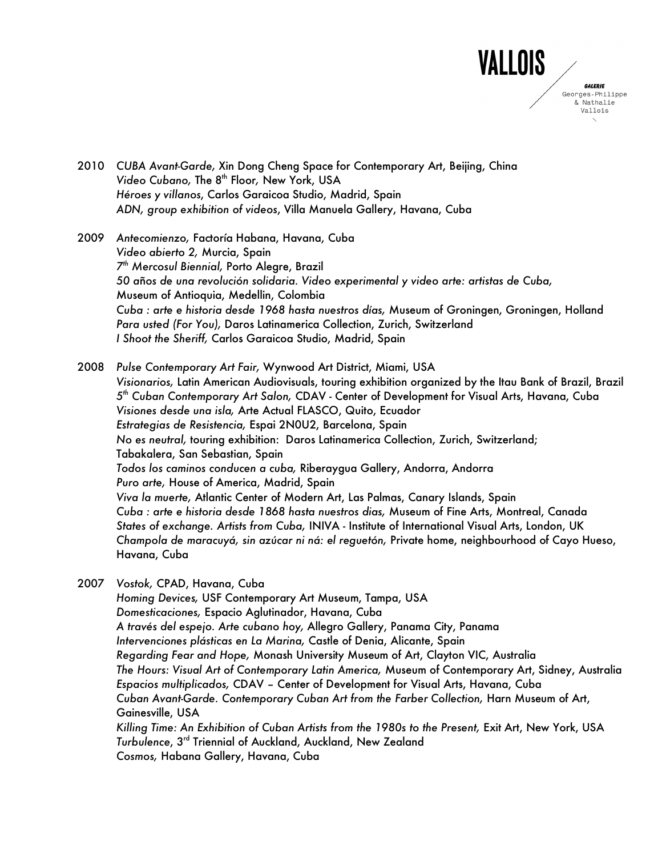

- 2010 *CUBA Avant-Garde,* Xin Dong Cheng Space for Contemporary Art, Beijing, China *Video Cubano,* The 8th Floor*,* New York, USA *Héroes y villanos*, Carlos Garaicoa Studio, Madrid, Spain *ADN, group exhibition of videos*, Villa Manuela Gallery, Havana, Cuba
- 2009 *Antecomienzo,* Factoría Habana, Havana, Cuba *Video abierto 2,* Murcia, Spain *7th Mercosul Biennial,* Porto Alegre, Brazil *50 a*ñ*os de una revolución solidaria. Video experimental y video arte: artistas de Cuba,*  Museum of Antioquia, Medellin, Colombia *Cuba : arte e historia desde 1968 hasta nuestros días,* Museum of Groningen, Groningen, Holland *Para usted (For You),* Daros Latinamerica Collection, Zurich, Switzerland *I Shoot the Sheriff,* Carlos Garaicoa Studio, Madrid, Spain

2008 *Pulse Contemporary Art Fair,* Wynwood Art District, Miami, USA *Visionarios,* Latin American Audiovisuals, touring exhibition organized by the Itau Bank of Brazil, Brazil *5th Cuban Contemporary Art Salon,* CDAV - Center of Development for Visual Arts, Havana, Cuba *Visiones desde una isla,* Arte Actual FLASCO, Quito, Ecuador *Estrategias de Resistencia,* Espai 2N0U2, Barcelona, Spain *No es neutral,* touring exhibition: Daros Latinamerica Collection, Zurich, Switzerland; Tabakalera, San Sebastian, Spain *Todos los caminos conducen a cuba,* Riberaygua Gallery, Andorra, Andorra *Puro arte,* House of America, Madrid, Spain *Viva la muerte,* Atlantic Center of Modern Art, Las Palmas, Canary Islands, Spain *Cuba : arte e historia desde 1868 hasta nuestros dias,* Museum of Fine Arts, Montreal, Canada *States of exchange. Artists from Cuba,* INIVA - Institute of International Visual Arts, London, UK *Champola de maracuyá, sin azúcar ni ná: el reguetón,* Private home, neighbourhood of Cayo Hueso, Havana, Cuba

2007 *Vostok,* CPAD, Havana, Cuba

*Homing Devices,* USF Contemporary Art Museum, Tampa, USA *Domesticaciones,* Espacio Aglutinador, Havana, Cuba *A través del espejo. Arte cubano hoy,* Allegro Gallery, Panama City, Panama *Intervenciones plásticas en La Marina,* Castle of Denia, Alicante, Spain *Regarding Fear and Hope,* Monash University Museum of Art, Clayton VIC, Australia *The Hours: Visual Art of Contemporary Latin America,* Museum of Contemporary Art, Sidney, Australia *Espacios multiplicados,* CDAV – Center of Development for Visual Arts, Havana, Cuba *Cuban Avant-Garde. Contemporary Cuban Art from the Farber Collection,* Harn Museum of Art, Gainesville, USA *Killing Time: An Exhibition of Cuban Artists from the 1980s to the Present,* Exit Art, New York, USA *Turbulence*, 3rd Triennial of Auckland, Auckland, New Zealand *Cosmos,* Habana Gallery, Havana, Cuba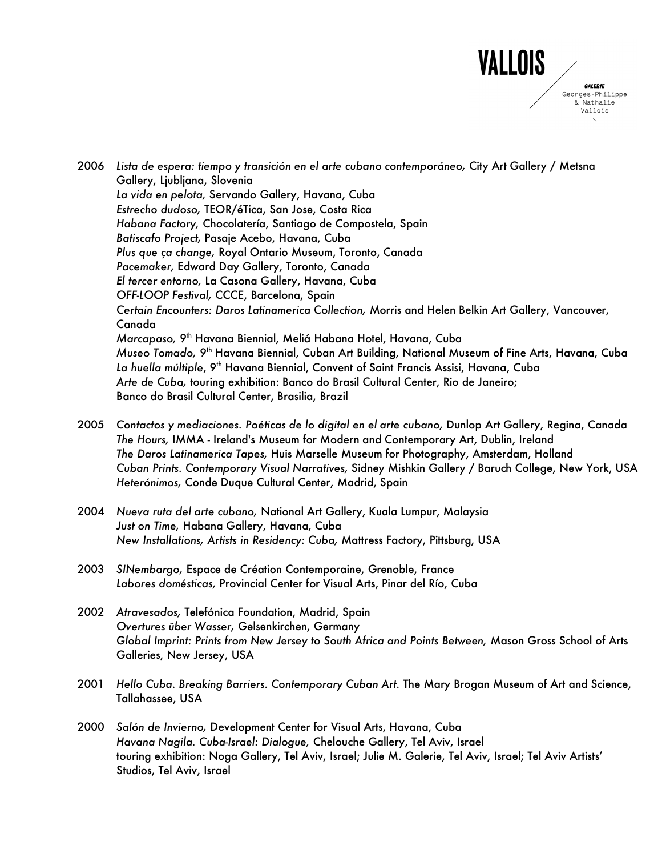

2006 *Lista de espera: tiempo y transición en el arte cubano contemporáneo,* City Art Gallery / Metsna Gallery, Ljubljana, Slovenia *La vida en pelota,* Servando Gallery, Havana, Cuba *Estrecho dudoso,* TEOR/éTica, San Jose, Costa Rica *Habana Factory,* Chocolatería, Santiago de Compostela, Spain *Batiscafo Project,* Pasaje Acebo, Havana, Cuba *Plus que ça change,* Royal Ontario Museum, Toronto, Canada *Pacemaker,* Edward Day Gallery, Toronto, Canada *El tercer entorno,* La Casona Gallery, Havana, Cuba *OFF-LOOP Festival,* CCCE, Barcelona, Spain *Certain Encounters: Daros Latinamerica Collection,* Morris and Helen Belkin Art Gallery, Vancouver, Canada *Marcapaso,* 9th Havana Biennial, Meliá Habana Hotel, Havana, Cuba *Museo Tomado,* 9th Havana Biennial, Cuban Art Building, National Museum of Fine Arts, Havana, Cuba La huella múltiple, 9<sup>th</sup> Havana Biennial, Convent of Saint Francis Assisi, Havana, Cuba *Arte de Cuba,* touring exhibition: Banco do Brasil Cultural Center, Rio de Janeiro; Banco do Brasil Cultural Center, Brasilia, Brazil

- 2005 *Contactos y mediaciones. Poéticas de lo digital en el arte cubano,* Dunlop Art Gallery, Regina, Canada *The Hours,* IMMA - Ireland's Museum for Modern and Contemporary Art, Dublin, Ireland *The Daros Latinamerica Tapes,* Huis Marselle Museum for Photography, Amsterdam, Holland *Cuban Prints. Contemporary Visual Narratives,* Sidney Mishkin Gallery / Baruch College, New York, USA *Heterónimos,* Conde Duque Cultural Center, Madrid, Spain
- 2004 *Nueva ruta del arte cubano,* National Art Gallery, Kuala Lumpur, Malaysia *Just on Time,* Habana Gallery, Havana, Cuba *New Installations, Artists in Residency: Cuba,* Mattress Factory, Pittsburg, USA
- 2003 *SINembargo,* Espace de Création Contemporaine, Grenoble, France *Labores domésticas,* Provincial Center for Visual Arts, Pinar del Río, Cuba
- 2002 *Atravesados,* Telefónica Foundation, Madrid, Spain *Overtures über Wasser,* Gelsenkirchen, Germany *Global Imprint: Prints from New Jersey to South Africa and Points Between,* Mason Gross School of Arts Galleries, New Jersey, USA
- 2001 *Hello Cuba. Breaking Barriers. Contemporary Cuban Art.* The Mary Brogan Museum of Art and Science, Tallahassee, USA
- 2000 *Salón de Invierno,* Development Center for Visual Arts, Havana, Cuba *Havana Nagila. Cuba-Israel: Dialogue,* Chelouche Gallery, Tel Aviv, Israel touring exhibition: Noga Gallery, Tel Aviv, Israel; Julie M. Galerie, Tel Aviv, Israel; Tel Aviv Artists' Studios, Tel Aviv, Israel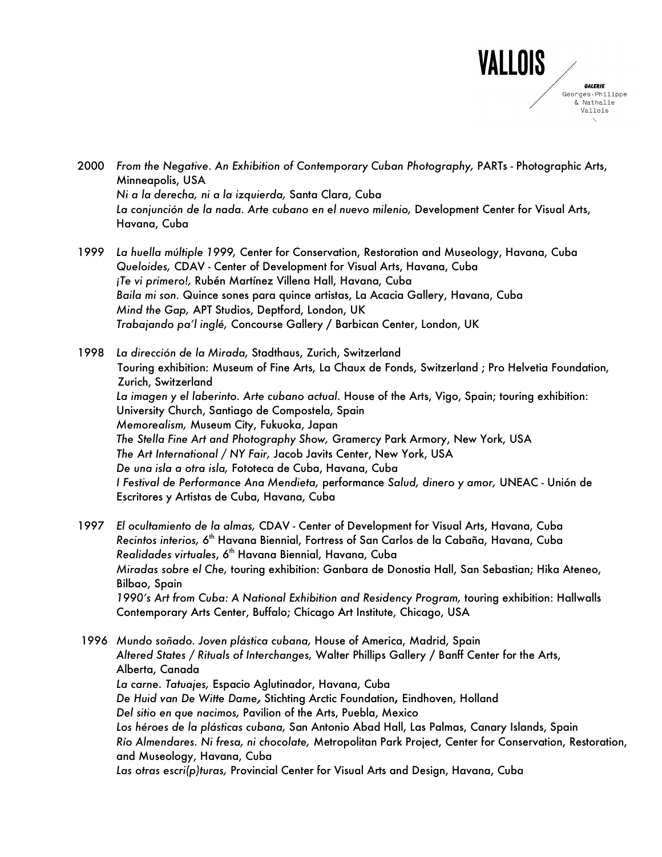

- 2000 *From the Negative. An Exhibition of Contemporary Cuban Photography,* PARTs Photographic Arts, Minneapolis, USA *Ni a la derecha, ni a la izquierda,* Santa Clara, Cuba *La conjunción de la nada. Arte cubano en el nuevo milenio,* Development Center for Visual Arts, Havana, Cuba
- 1999 *La huella múltiple 1999,* Center for Conservation, Restoration and Museology, Havana, Cuba *Queloides,* CDAV - Center of Development for Visual Arts, Havana, Cuba *¡Te vi primero!,* Rubén Martínez Villena Hall, Havana, Cuba *Baila mi son.* Quince sones para quince artistas, La Acacia Gallery, Havana, Cuba *Mind the Gap,* APT Studios, Deptford, London, UK *Trabajando pa'l inglé,* Concourse Gallery / Barbican Center, London, UK

1998 *La dirección de la Mirada,* Stadthaus, Zurich, Switzerland Touring exhibition: Museum of Fine Arts, La Chaux de Fonds, Switzerland ; Pro Helvetia Foundation, Zurich, Switzerland *La imagen y el laberinto. Arte cubano actual.* House of the Arts, Vigo, Spain; touring exhibition: University Church, Santiago de Compostela, Spain *Memorealism,* Museum City, Fukuoka, Japan *The Stella Fine Art and Photography Show,* Gramercy Park Armory, New York, USA *The Art International / NY Fair,* Jacob Javits Center, New York, USA *De una isla a otra isla,* Fototeca de Cuba, Havana, Cuba *I Festival de Performance Ana Mendieta,* performance *Salud, dinero y amor,* UNEAC - Unión de Escritores y Artistas de Cuba, Havana, Cuba

- 1997 *El ocultamiento de la almas,* CDAV Center of Development for Visual Arts, Havana, Cuba *Recintos interios,* 6th Havana Biennial, Fortress of San Carlos de la Cabaña, Havana, Cuba *Realidades virtuales*, 6th Havana Biennial, Havana, Cuba *Miradas sobre el Che,* touring exhibition: Ganbara de Donostia Hall, San Sebastian; Hika Ateneo, Bilbao, Spain *1990's Art from Cuba: A National Exhibition and Residency Program,* touring exhibition: Hallwalls Contemporary Arts Center, Buffalo; Chicago Art Institute, Chicago, USA
- 1996 *Mundo soñado. Joven plástica cubana,* House of America, Madrid, Spain *Altered States / Rituals of Interchanges,* Walter Phillips Gallery / Banff Center for the Arts, Alberta, Canada *La carne. Tatuajes,* Espacio Aglutinador, Havana, Cuba *De Huid van De Witte Dame***,** Stichting Arctic Foundation**,** Eindhoven, Holland *Del sitio en que nacimos,* Pavilion of the Arts, Puebla, Mexico *Los héroes de la plásticas cubana,* San Antonio Abad Hall, Las Palmas, Canary Islands, Spain *Río Almendares. Ni fresa, ni chocolate,* Metropolitan Park Project, Center for Conservation, Restoration, and Museology, Havana, Cuba *Las otras escri(p)turas,* Provincial Center for Visual Arts and Design, Havana, Cuba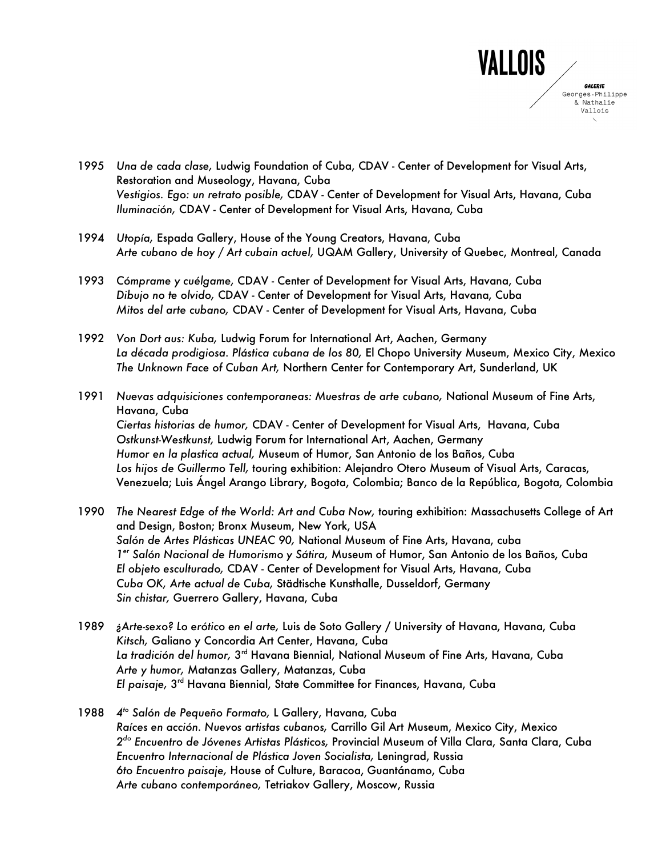

- 1995 *Una de cada clase,* Ludwig Foundation of Cuba, CDAV Center of Development for Visual Arts, Restoration and Museology, Havana, Cuba *Vestigios. Ego: un retrato posible,* CDAV - Center of Development for Visual Arts, Havana, Cuba *Iluminación,* CDAV - Center of Development for Visual Arts, Havana, Cuba
- 1994 *Utopía,* Espada Gallery, House of the Young Creators, Havana, Cuba *Arte cubano de hoy / Art cubain actuel,* UQAM Gallery, University of Quebec, Montreal, Canada
- 1993 *Cómprame y cuélgame,* CDAV Center of Development for Visual Arts, Havana, Cuba *Dibujo no te olvido,* CDAV - Center of Development for Visual Arts, Havana, Cuba *Mitos del arte cubano,* CDAV - Center of Development for Visual Arts, Havana, Cuba
- 1992 *Von Dort aus: Kuba,* Ludwig Forum for International Art, Aachen, Germany *La década prodigiosa. Plástica cubana de los 80,* El Chopo University Museum, Mexico City, Mexico *The Unknown Face of Cuban Art,* Northern Center for Contemporary Art, Sunderland, UK
- 1991 *Nuevas adquisiciones contemporaneas: Muestras de arte cubano,* National Museum of Fine Arts, Havana, Cuba *Ciertas historias de humor,* CDAV - Center of Development for Visual Arts, Havana, Cuba *Ostkunst-Westkunst,* Ludwig Forum for International Art, Aachen, Germany *Humor en la plastica actual,* Museum of Humor, San Antonio de los Baños, Cuba *Los hijos de Guillermo Tell,* touring exhibition: Alejandro Otero Museum of Visual Arts, Caracas, Venezuela; Luis Ángel Arango Library, Bogota, Colombia; Banco de la República, Bogota, Colombia
- 1990 *The Nearest Edge of the World: Art and Cuba Now,* touring exhibition: Massachusetts College of Art and Design, Boston; Bronx Museum, New York, USA *Salón de Artes Plásticas UNEAC 90,* National Museum of Fine Arts, Havana, cuba *1er Salón Nacional de Humorismo y Sátira,* Museum of Humor, San Antonio de los Baños, Cuba *El objeto esculturado,* CDAV - Center of Development for Visual Arts, Havana, Cuba *Cuba OK, Arte actual de Cuba,* Städtische Kunsthalle, Dusseldorf, Germany *Sin chistar,* Guerrero Gallery, Havana, Cuba
- 1989 *¿Arte-sexo? Lo erótico en el arte,* Luis de Soto Gallery / University of Havana, Havana, Cuba *Kitsch,* Galiano y Concordia Art Center, Havana, Cuba *La tradición del humor,* 3rd Havana Biennial, National Museum of Fine Arts, Havana, Cuba *Arte y humor,* Matanzas Gallery, Matanzas, Cuba *El paisaje,* 3rd Havana Biennial, State Committee for Finances, Havana, Cuba
- 1988 *4to Salón de Pequeño Formato,* L Gallery, Havana, Cuba *Raíces en acción. Nuevos artistas cubanos,* Carrillo Gil Art Museum, Mexico City, Mexico *2do Encuentro de Jóvenes Artistas Plásticos,* Provincial Museum of Villa Clara, Santa Clara, Cuba *Encuentro Internacional de Plástica Joven Socialista,* Leningrad, Russia *6to Encuentro paisaje,* House of Culture, Baracoa, Guantánamo, Cuba *Arte cubano contemporáneo,* Tetriakov Gallery, Moscow, Russia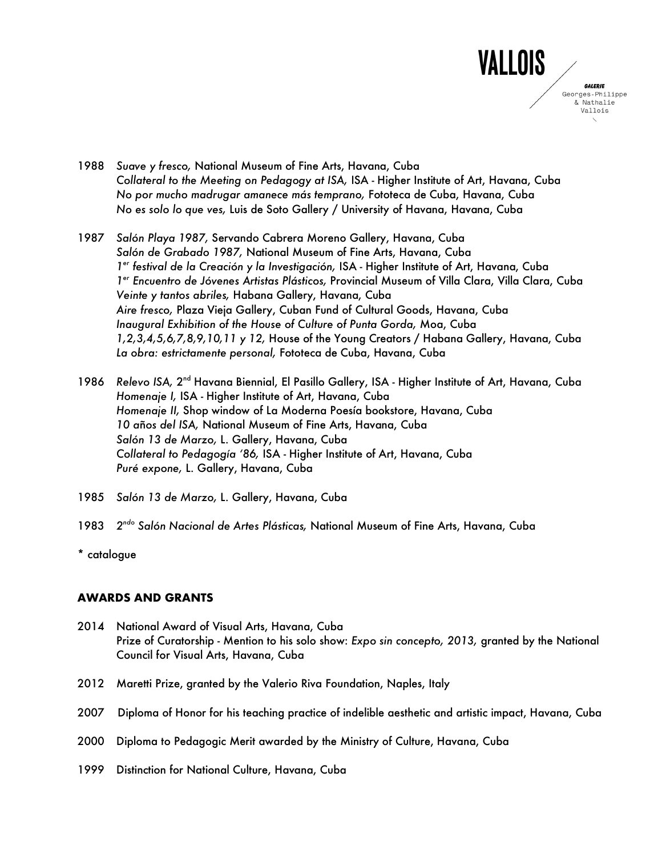

- 1988 *Suave y fresco,* National Museum of Fine Arts, Havana, Cuba *Collateral to the Meeting on Pedagogy at ISA,* ISA - Higher Institute of Art, Havana, Cuba *No por mucho madrugar amanece más temprano,* Fototeca de Cuba, Havana, Cuba *No es solo lo que ves,* Luis de Soto Gallery / University of Havana, Havana, Cuba
- 1987 *Salón Playa 1987,* Servando Cabrera Moreno Gallery, Havana, Cuba *Salón de Grabado 1987,* National Museum of Fine Arts, Havana, Cuba *1er festival de la Creación y la Investigación,* ISA - Higher Institute of Art, Havana, Cuba *1er Encuentro de Jóvenes Artistas Plásticos,* Provincial Museum of Villa Clara, Villa Clara, Cuba *Veinte y tantos abriles,* Habana Gallery, Havana, Cuba *Aire fresco,* Plaza Vieja Gallery, Cuban Fund of Cultural Goods, Havana, Cuba *Inaugural Exhibition of the House of Culture of Punta Gorda,* Moa, Cuba *1,2,3,4,5,6,7,8,9,10,11 y 12,* House of the Young Creators / Habana Gallery, Havana, Cuba *La obra: estrictamente personal,* Fototeca de Cuba, Havana, Cuba
- 1986 *Relevo ISA,* 2nd Havana Biennial, El Pasillo Gallery, ISA Higher Institute of Art, Havana, Cuba *Homenaje I,* ISA - Higher Institute of Art, Havana, Cuba *Homenaje II,* Shop window of La Moderna Poesía bookstore, Havana, Cuba *10 a*ñ*os del ISA,* National Museum of Fine Arts, Havana, Cuba *Salón 13 de Marzo,* L. Gallery, Havana, Cuba *Collateral to Pedagogía '86,* ISA - Higher Institute of Art, Havana, Cuba *Puré expone,* L. Gallery, Havana, Cuba
- 1985 *Salón 13 de Marzo,* L. Gallery, Havana, Cuba
- 1983 *2ndo Salón Nacional de Artes Plásticas,* National Museum of Fine Arts, Havana, Cuba
- \* catalogue

## **AWARDS AND GRANTS**

- 2014 National Award of Visual Arts, Havana, Cuba Prize of Curatorship - Mention to his solo show: *Expo sin concepto, 2013,* granted by the National Council for Visual Arts, Havana, Cuba
- 2012 Maretti Prize, granted by the Valerio Riva Foundation, Naples, Italy
- 2007 Diploma of Honor for his teaching practice of indelible aesthetic and artistic impact, Havana, Cuba
- 2000 Diploma to Pedagogic Merit awarded by the Ministry of Culture, Havana, Cuba
- 1999 Distinction for National Culture, Havana, Cuba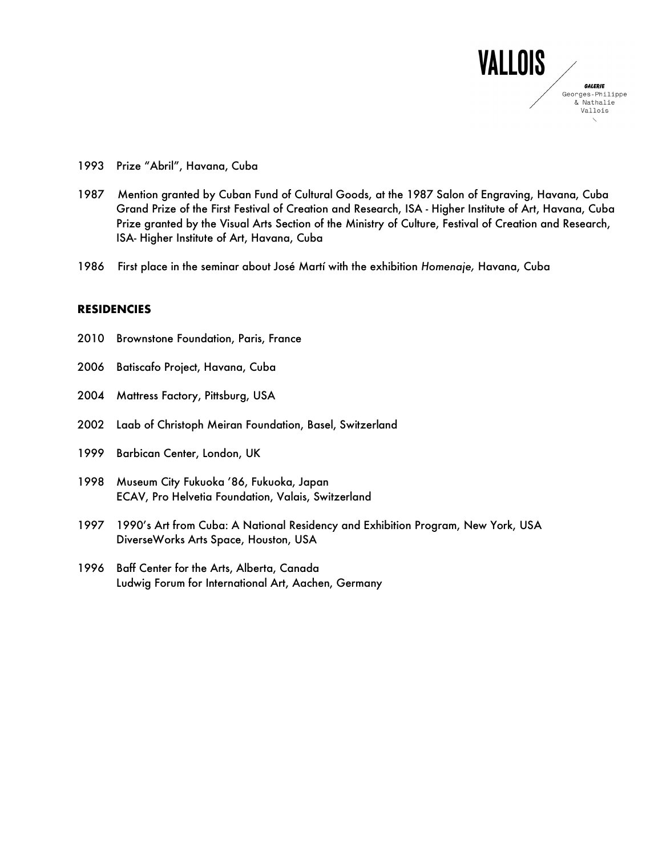

- 1993 Prize "Abril", Havana, Cuba
- 1987 Mention granted by Cuban Fund of Cultural Goods, at the 1987 Salon of Engraving, Havana, Cuba Grand Prize of the First Festival of Creation and Research, ISA - Higher Institute of Art, Havana, Cuba Prize granted by the Visual Arts Section of the Ministry of Culture, Festival of Creation and Research, ISA- Higher Institute of Art, Havana, Cuba
- 1986 First place in the seminar about José Martí with the exhibition *Homenaje,* Havana, Cuba

#### **RESIDENCIES**

- 2010 Brownstone Foundation, Paris, France
- 2006 Batiscafo Project, Havana, Cuba
- 2004 Mattress Factory, Pittsburg, USA
- 2002 Laab of Christoph Meiran Foundation, Basel, Switzerland
- 1999 Barbican Center, London, UK
- 1998 Museum City Fukuoka '86, Fukuoka, Japan ECAV, Pro Helvetia Foundation, Valais, Switzerland
- 1997 1990's Art from Cuba: A National Residency and Exhibition Program, New York, USA DiverseWorks Arts Space, Houston, USA
- 1996 Baff Center for the Arts, Alberta, Canada Ludwig Forum for International Art, Aachen, Germany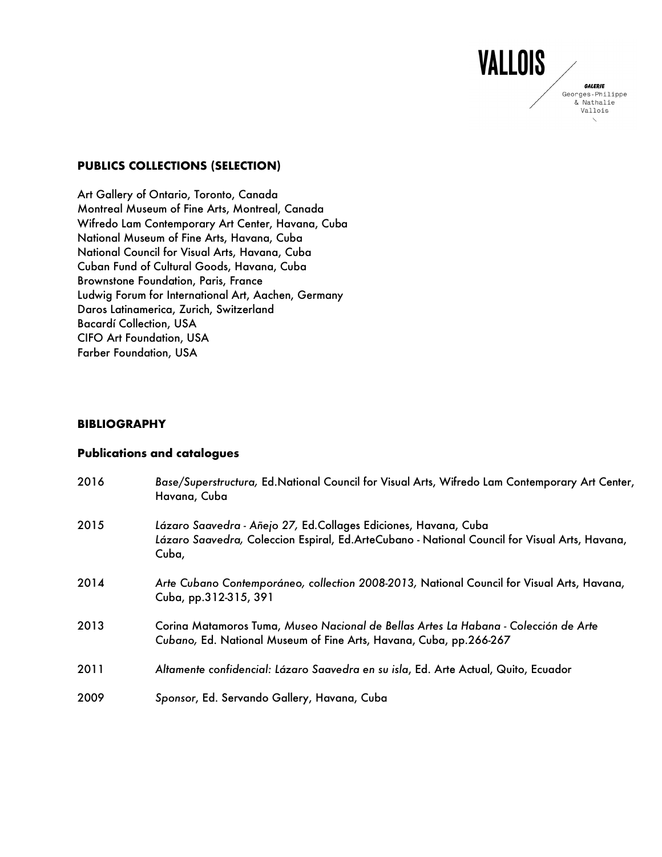## **PUBLICS COLLECTIONS (SELECTION)**

Art Gallery of Ontario, Toronto, Canada Montreal Museum of Fine Arts, Montreal, Canada Wifredo Lam Contemporary Art Center, Havana, Cuba National Museum of Fine Arts, Havana, Cuba National Council for Visual Arts, Havana, Cuba Cuban Fund of Cultural Goods, Havana, Cuba Brownstone Foundation, Paris, France Ludwig Forum for International Art, Aachen, Germany Daros Latinamerica, Zurich, Switzerland Bacardí Collection, USA CIFO Art Foundation, USA Farber Foundation, USA

## **BIBLIOGRAPHY**

## **Publications and catalogues**

| 2016 | Base/Superstructura, Ed.National Council for Visual Arts, Wifredo Lam Contemporary Art Center,<br>Havana, Cuba                                                            |
|------|---------------------------------------------------------------------------------------------------------------------------------------------------------------------------|
| 2015 | Lázaro Saavedra - Añejo 27, Ed.Collages Ediciones, Havana, Cuba<br>Lázaro Saavedra, Coleccion Espiral, Ed.ArteCubano - National Council for Visual Arts, Havana,<br>Cuba, |
| 2014 | Arte Cubano Contemporáneo, collection 2008-2013, National Council for Visual Arts, Havana,<br>Cuba, pp.312-315, 391                                                       |
| 2013 | Corina Matamoros Tuma, Museo Nacional de Bellas Artes La Habana - Colección de Arte<br>Cubano, Ed. National Museum of Fine Arts, Havana, Cuba, pp. 266-267                |
| 2011 | Altamente confidencial: Lázaro Saavedra en su isla, Ed. Arte Actual, Quito, Ecuador                                                                                       |
| 2009 | Sponsor, Ed. Servando Gallery, Havana, Cuba                                                                                                                               |

VALLOIS

**GALERIE** Georges-Philippe & Nathalie Vallois